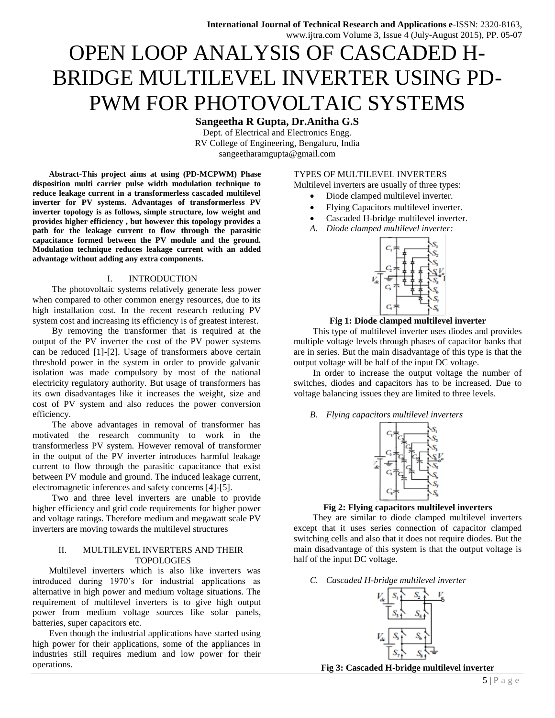# OPEN LOOP ANALYSIS OF CASCADED H-BRIDGE MULTILEVEL INVERTER USING PD-PWM FOR PHOTOVOLTAIC SYSTEMS

## **Sangeetha R Gupta, Dr.Anitha G.S**

Dept. of Electrical and Electronics Engg. RV College of Engineering, Bengaluru, India [sangeetharamgupta@gmail.com](mailto:sangeetharamgupta@gmail.com)

**Abstract-This project aims at using (PD-MCPWM) Phase disposition multi carrier pulse width modulation technique to reduce leakage current in a transformerless cascaded multilevel inverter for PV systems. Advantages of transformerless PV inverter topology is as follows, simple structure, low weight and provides higher efficiency , but however this topology provides a path for the leakage current to flow through the parasitic capacitance formed between the PV module and the ground. Modulation technique reduces leakage current with an added advantage without adding any extra components.**

#### I. INTRODUCTION

The photovoltaic systems relatively generate less power when compared to other common energy resources, due to its high installation cost. In the recent research reducing PV system cost and increasing its efficiency is of greatest interest.

By removing the transformer that is required at the output of the PV inverter the cost of the PV power systems can be reduced [1]-[2]. Usage of transformers above certain threshold power in the system in order to provide galvanic isolation was made compulsory by most of the national electricity regulatory authority. But usage of transformers has its own disadvantages like it increases the weight, size and cost of PV system and also reduces the power conversion efficiency.

The above advantages in removal of transformer has motivated the research community to work in the transformerless PV system. However removal of transformer in the output of the PV inverter introduces harmful leakage current to flow through the parasitic capacitance that exist between PV module and ground. The induced leakage current, electromagnetic inferences and safety concerns [4]-[5].

Two and three level inverters are unable to provide higher efficiency and grid code requirements for higher power and voltage ratings. Therefore medium and megawatt scale PV inverters are moving towards the multilevel structures

#### II. MULTILEVEL INVERTERS AND THEIR **TOPOLOGIES**

Multilevel inverters which is also like inverters was introduced during 1970's for industrial applications as alternative in high power and medium voltage situations. The requirement of multilevel inverters is to give high output power from medium voltage sources like solar panels, batteries, super capacitors etc.

Even though the industrial applications have started using high power for their applications, some of the appliances in industries still requires medium and low power for their operations.

### TYPES OF MULTILEVEL INVERTERS

Multilevel inverters are usually of three types:

- Diode clamped multilevel inverter.
- Flying Capacitors multilevel inverter.
- Cascaded H-bridge multilevel inverter.
- *A. Diode clamped multilevel inverter:*



### **Fig 1: Diode clamped multilevel inverter**

This type of multilevel inverter uses diodes and provides multiple voltage levels through phases of capacitor banks that are in series. But the main disadvantage of this type is that the output voltage will be half of the input DC voltage.

In order to increase the output voltage the number of switches, diodes and capacitors has to be increased. Due to voltage balancing issues they are limited to three levels.

#### *B. Flying capacitors multilevel inverters*



### **Fig 2: Flying capacitors multilevel inverters**

They are similar to diode clamped multilevel inverters except that it uses series connection of capacitor clamped switching cells and also that it does not require diodes. But the main disadvantage of this system is that the output voltage is half of the input DC voltage.

*C. Cascaded H-bridge multilevel inverter*



**Fig 3: Cascaded H-bridge multilevel inverter**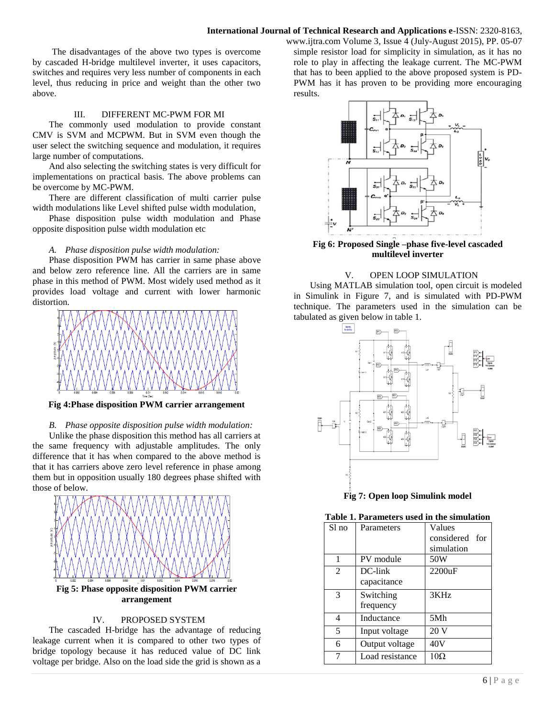## **International Journal of Technical Research and Applications e**-ISSN: 2320-8163,

The disadvantages of the above two types is overcome by cascaded H-bridge multilevel inverter, it uses capacitors, switches and requires very less number of components in each level, thus reducing in price and weight than the other two above.

## III. DIFFERENT MC-PWM FOR MI

The commonly used modulation to provide constant CMV is SVM and MCPWM. But in SVM even though the user select the switching sequence and modulation, it requires large number of computations.

And also selecting the switching states is very difficult for implementations on practical basis. The above problems can be overcome by MC-PWM.

There are different classification of multi carrier pulse width modulations like Level shifted pulse width modulation,

Phase disposition pulse width modulation and Phase opposite disposition pulse width modulation etc

#### *A. Phase disposition pulse width modulation:*

Phase disposition PWM has carrier in same phase above and below zero reference line. All the carriers are in same phase in this method of PWM. Most widely used method as it provides load voltage and current with lower harmonic distortion.



**Fig 4:Phase disposition PWM carrier arrangement**

#### *B. Phase opposite disposition pulse width modulation:*

Unlike the phase disposition this method has all carriers at the same frequency with adjustable amplitudes. The only difference that it has when compared to the above method is that it has carriers above zero level reference in phase among them but in opposition usually 180 degrees phase shifted with those of below.



#### IV. PROPOSED SYSTEM

The cascaded H-bridge has the advantage of reducing leakage current when it is compared to other two types of bridge topology because it has reduced value of DC link voltage per bridge. Also on the load side the grid is shown as a

www.ijtra.com Volume 3, Issue 4 (July-August 2015), PP. 05-07 simple resistor load for simplicity in simulation, as it has no role to play in affecting the leakage current. The MC-PWM that has to been applied to the above proposed system is PD-PWM has it has proven to be providing more encouraging results.



**Fig 6: Proposed Single –phase five-level cascaded multilevel inverter**

#### V. OPEN LOOP SIMULATION

Using MATLAB simulation tool, open circuit is modeled in Simulink in Figure 7, and is simulated with PD-PWM technique. The parameters used in the simulation can be tabulated as given below in table 1.



**Fig 7: Open loop Simulink model**

#### **Table 1. Parameters used in the simulation**

| a aramcici s uscu<br><u>III UR SHIILIIAUVII</u> |                           |                                        |
|-------------------------------------------------|---------------------------|----------------------------------------|
| Sl no                                           | Parameters                | Values<br>considered for<br>simulation |
| 1                                               | PV module                 | 50W                                    |
| $\mathfrak{D}$                                  | $DC$ -link<br>capacitance | 2200uF                                 |
| 3                                               | Switching<br>frequency    | 3KHz                                   |
| 4                                               | Inductance                | 5Mh                                    |
| 5                                               | Input voltage             | 20 V                                   |
| 6                                               | Output voltage            | 40V                                    |
| 7                                               | Load resistance           | $10\Omega$                             |